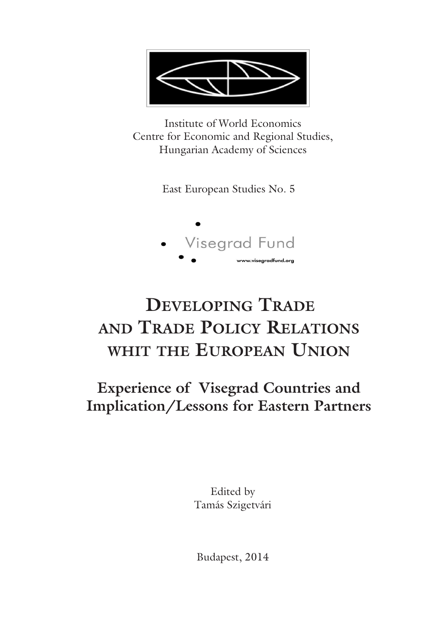

Institute of World Economics Centre for Economic and Regional Studies, Hungarian Academy of Sciences

East European Studies No. 5



# **DEVELOPING TRADE AND TRADE POLICY RELATIONS WHIT THE EUROPEAN UNION**

**Experience of Visegrad Countries and Implication/Lessons for Eastern Partners**

> Edited by Tamás Szigetvári

Budapest, 2014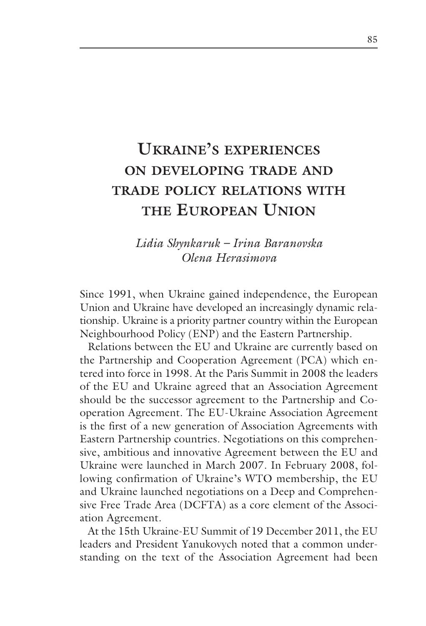## **UKRAINE'S EXPERIENCES ON DEVELOPING TRADE AND TRADE POLICY RELATIONS WITH THE EUROPEAN UNION**

#### *Lidia Shynkaruk – Irina Baranovska Olena Herasimova*

Since 1991, when Ukraine gained independence, the European Union and Ukraine have developed an increasingly dynamic relationship. Ukraine is a priority partner country within the European Neighbourhood Policy (ENP) and the Eastern Partnership.

Relations between the EU and Ukraine are currently based on the Partnership and Cooperation Agreement (PCA) which entered into force in 1998. At the Paris Summit in 2008 the leaders of the EU and Ukraine agreed that an Association Agreement should be the successor agreement to the Partnership and Cooperation Agreement. The EU-Ukraine Association Agreement is the first of a new generation of Association Agreements with Eastern Partnership countries. Negotiations on this comprehensive, ambitious and innovative Agreement between the EU and Ukraine were launched in March 2007. In February 2008, following confirmation of Ukraine's WTO membership, the EU and Ukraine launched negotiations on a Deep and Comprehensive Free Trade Area (DCFTA) as a core element of the Association Agreement.

At the 15th Ukraine-EU Summit of 19 December 2011, the EU leaders and President Yanukovych noted that a common understanding on the text of the Association Agreement had been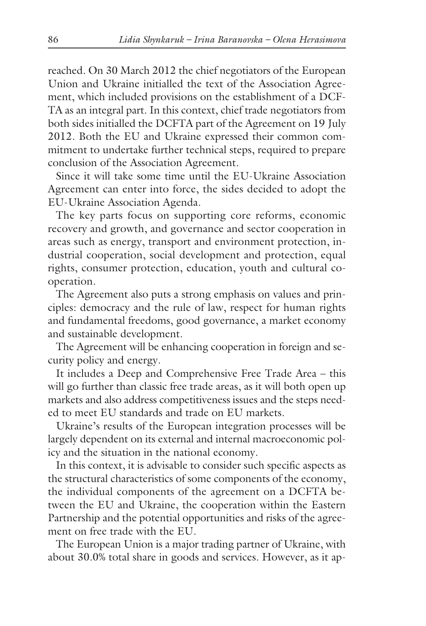reached. On 30 March 2012 the chief negotiators of the European Union and Ukraine initialled the text of the Association Agreement, which included provisions on the establishment of a DCF-TA as an integral part. In this context, chief trade negotiators from both sides initialled the DCFTA part of the Agreement on 19 July 2012. Both the EU and Ukraine expressed their common commitment to undertake further technical steps, required to prepare conclusion of the Association Agreement.

Since it will take some time until the EU-Ukraine Association Agreement can enter into force, the sides decided to adopt the EU-Ukraine Association Agenda.

The key parts focus on supporting core reforms, economic recovery and growth, and governance and sector cooperation in areas such as energy, transport and environment protection, industrial cooperation, social development and protection, equal rights, consumer protection, education, youth and cultural cooperation.

The Agreement also puts a strong emphasis on values and principles: democracy and the rule of law, respect for human rights and fundamental freedoms, good governance, a market economy and sustainable development.

The Agreement will be enhancing cooperation in foreign and security policy and energy.

It includes a Deep and Comprehensive Free Trade Area – this will go further than classic free trade areas, as it will both open up markets and also address competitiveness issues and the steps needed to meet EU standards and trade on EU markets.

Ukraine's results of the European integration processes will be largely dependent on its external and internal macroeconomic policy and the situation in the national economy.

In this context, it is advisable to consider such specific aspects as the structural characteristics of some components of the economy, the individual components of the agreement on a DCFTA between the EU and Ukraine, the cooperation within the Eastern Partnership and the potential opportunities and risks of the agreement on free trade with the EU.

The European Union is a major trading partner of Ukraine, with about 30.0% total share in goods and services. However, as it ap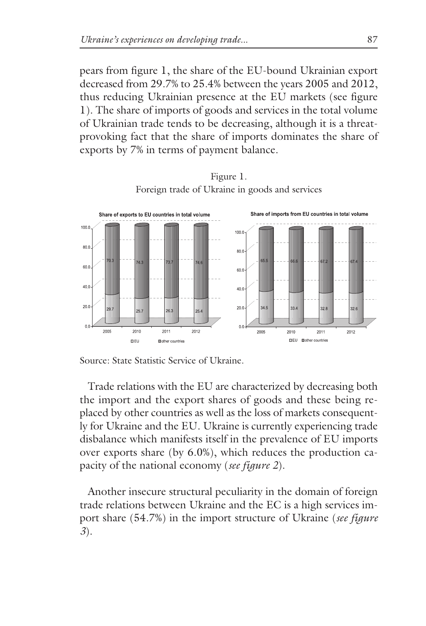pears from figure 1, the share of the EU-bound Ukrainian export decreased from 29.7% to 25.4% between the years 2005 and 2012, thus reducing Ukrainian presence at the EU markets (see figure 1). The share of imports of goods and services in the total volume of Ukrainian trade tends to be decreasing, although it is a threatprovoking fact that the share of imports dominates the share of exports by 7% in terms of payment balance.



Figure 1. Foreign trade of Ukraine in goods and services

Source: State Statistic Service of Ukraine.

Trade relations with the EU are characterized by decreasing both the import and the export shares of goods and these being replaced by other countries as well as the loss of markets consequently for Ukraine and the EU. Ukraine is currently experiencing trade disbalance which manifests itself in the prevalence of EU imports over exports share (by 6.0%), which reduces the production capacity of the national economy (*see figure 2*).

Another insecure structural peculiarity in the domain of foreign trade relations between Ukraine and the EC is a high services import share (54.7%) in the import structure of Ukraine (*see figure 3*).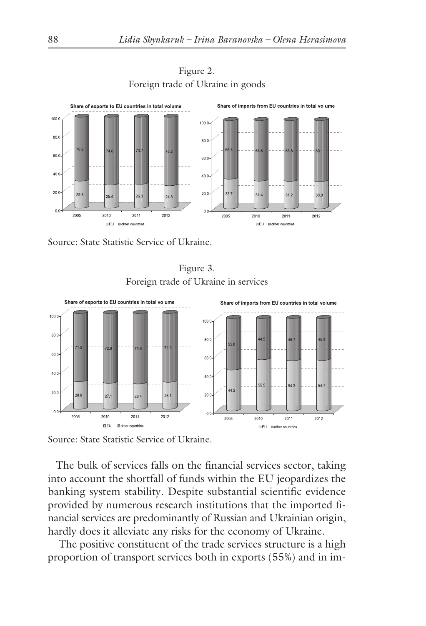

Figure 2. Foreign trade of Ukraine in goods

Source: State Statistic Service of Ukraine.

Figure 3. Foreign trade of Ukraine in services



Source: State Statistic Service of Ukraine.

The bulk of services falls on the financial services sector, taking into account the shortfall of funds within the EU jeopardizes the banking system stability. Despite substantial scientific evidence provided by numerous research institutions that the imported financial services are predominantly of Russian and Ukrainian origin, hardly does it alleviate any risks for the economy of Ukraine.

The positive constituent of the trade services structure is a high proportion of transport services both in exports (55%) and in im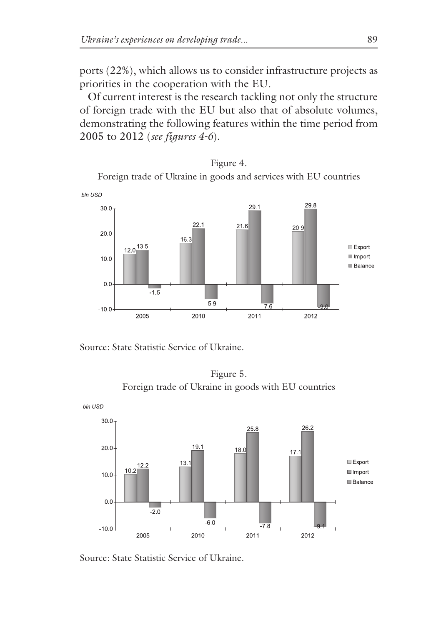ports (22%), which allows us to consider infrastructure projects as priorities in the cooperation with the EU.

Of current interest is the research tackling not only the structure of foreign trade with the EU but also that of absolute volumes, demonstrating the following features within the time period from 2005 to 2012 (*see figures 4-6*).

Figure 4. Foreign trade of Ukraine in goods and services with EU countries



Source: State Statistic Service of Ukraine.





Source: State Statistic Service of Ukraine.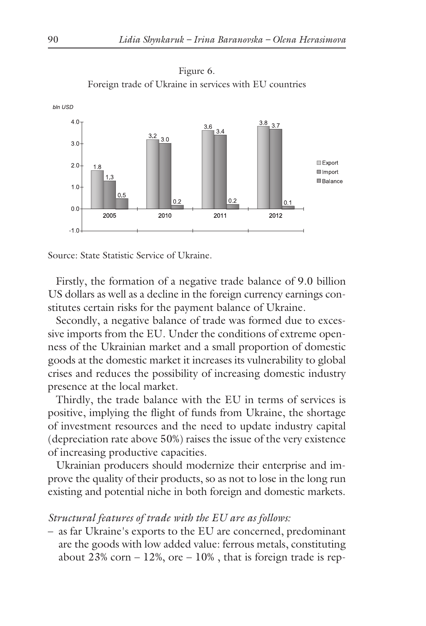

Figure 6.

Source: State Statistic Service of Ukraine.

Firstly, the formation of a negative trade balance of 9.0 billion US dollars as well as a decline in the foreign currency earnings constitutes certain risks for the payment balance of Ukraine.

Secondly, a negative balance of trade was formed due to excessive imports from the EU. Under the conditions of extreme openness of the Ukrainian market and a small proportion of domestic goods at the domestic market it increases its vulnerability to global crises and reduces the possibility of increasing domestic industry presence at the local market.

Thirdly, the trade balance with the EU in terms of services is positive, implying the flight of funds from Ukraine, the shortage of investment resources and the need to update industry capital (depreciation rate above 50%) raises the issue of the very existence of increasing productive capacities.

Ukrainian producers should modernize their enterprise and improve the quality of their products, so as not to lose in the long run existing and potential niche in both foreign and domestic markets.

#### *Structural features of trade with the EU are as follows:*

– as far Ukraine's exports to the EU are concerned, predominant are the goods with low added value: ferrous metals, constituting about 23% corn  $-12$ %, ore  $-10$ %, that is foreign trade is rep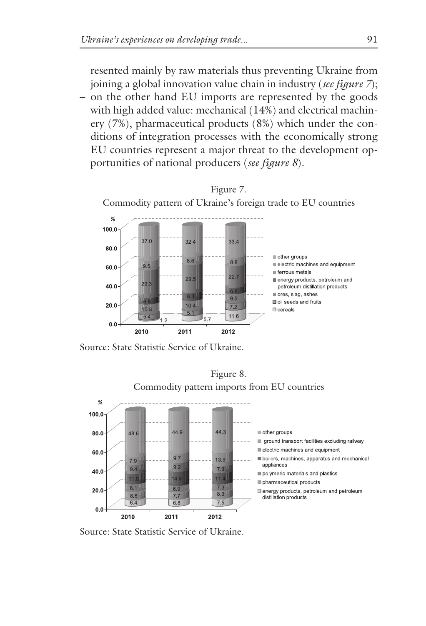resented mainly by raw materials thus preventing Ukraine from joining a global innovation value chain in industry (*see figure 7*);

– on the other hand EU imports are represented by the goods with high added value: mechanical (14%) and electrical machinery (7%), pharmaceutical products (8%) which under the conditions of integration processes with the economically strong EU countries represent a major threat to the development opportunities of national producers (*see figure 8*).



Source: State Statistic Service of Ukraine.



Source: State Statistic Service of Ukraine.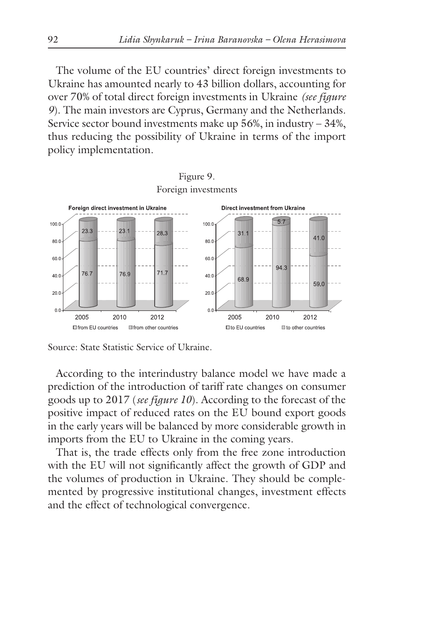The volume of the EU countries' direct foreign investments to Ukraine has amounted nearly to 43 billion dollars, accounting for over 70% of total direct foreign investments in Ukraine *(see figure 9*). The main investors are Cyprus, Germany and the Netherlands. Service sector bound investments make up 56%, in industry – 34%, thus reducing the possibility of Ukraine in terms of the import policy implementation.



Source: State Statistic Service of Ukraine.

According to the interindustry balance model we have made a prediction of the introduction of tariff rate changes on consumer goods up to 2017 (*see figure 10*). According to the forecast of the positive impact of reduced rates on the EU bound export goods in the early years will be balanced by more considerable growth in imports from the EU to Ukraine in the coming years.

That is, the trade effects only from the free zone introduction with the EU will not significantly affect the growth of GDP and the volumes of production in Ukraine. They should be complemented by progressive institutional changes, investment effects and the effect of technological convergence.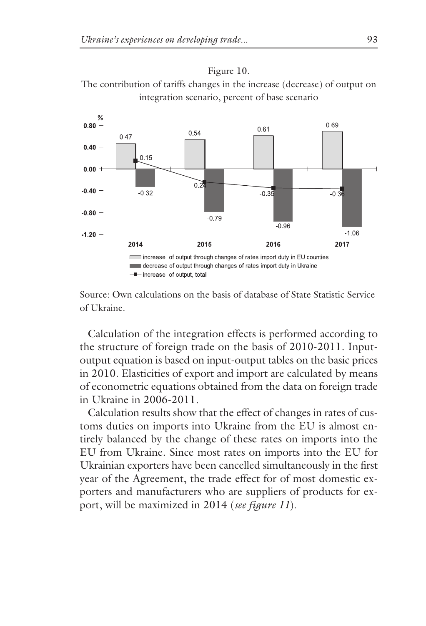



Source: Own calculations on the basis of database of State Statistic Service of Ukraine.

Calculation of the integration effects is performed according to the structure of foreign trade on the basis of 2010-2011. Inputoutput equation is based on input-output tables on the basic prices in 2010. Elasticities of export and import are calculated by means of econometric equations obtained from the data on foreign trade in Ukraine in 2006-2011.

Calculation results show that the effect of changes in rates of customs duties on imports into Ukraine from the EU is almost entirely balanced by the change of these rates on imports into the EU from Ukraine. Since most rates on imports into the EU for Ukrainian exporters have been cancelled simultaneously in the first year of the Agreement, the trade effect for of most domestic exporters and manufacturers who are suppliers of products for export, will be maximized in 2014 (*see figure 11*).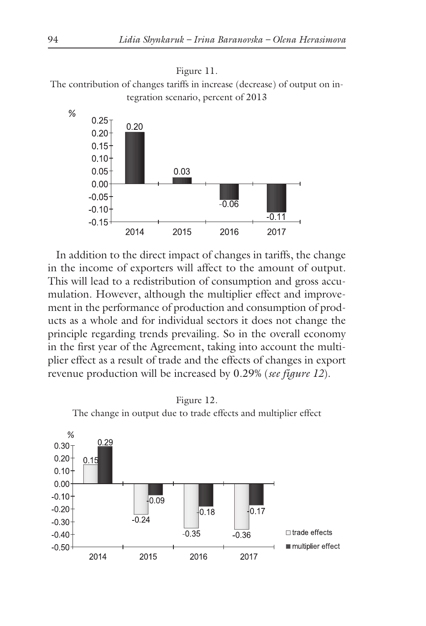

The contribution of changes tariffs in increase (decrease) of output on integration scenario, percent of 2013



In addition to the direct impact of changes in tariffs, the change in the income of exporters will affect to the amount of output. This will lead to a redistribution of consumption and gross accumulation. However, although the multiplier effect and improvement in the performance of production and consumption of products as a whole and for individual sectors it does not change the principle regarding trends prevailing. So in the overall economy in the first year of the Agreement, taking into account the multiplier effect as a result of trade and the effects of changes in export revenue production will be increased by 0.29% (*see figure 12*).

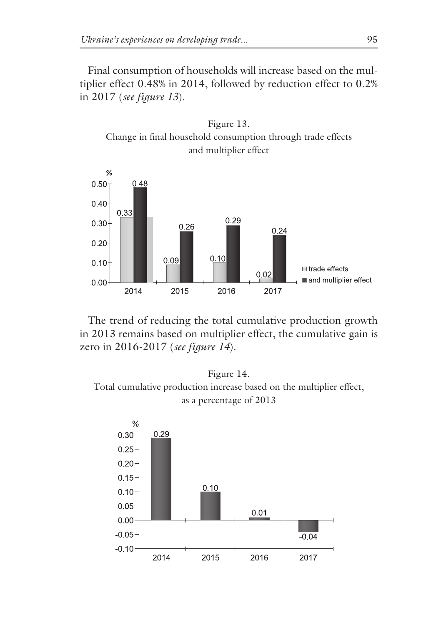Final consumption of households will increase based on the multiplier effect 0.48% in 2014, followed by reduction effect to 0.2% in 2017 (*see figure 13*).





The trend of reducing the total cumulative production growth in 2013 remains based on multiplier effect, the cumulative gain is zero in 2016-2017 (*see figure 14*).

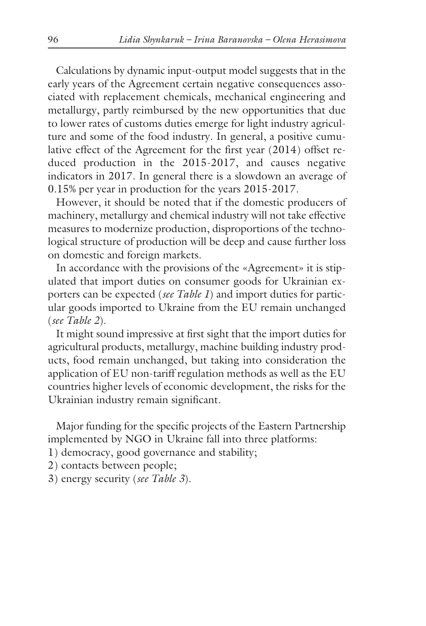Calculations by dynamic input-output model suggests that in the early years of the Agreement certain negative consequences associated with replacement chemicals, mechanical engineering and metallurgy, partly reimbursed by the new opportunities that due to lower rates of customs duties emerge for light industry agriculture and some of the food industry. In general, a positive cumulative effect of the Agreement for the first year (2014) offset reduced production in the 2015-2017, and causes negative indicators in 2017. In general there is a slowdown an average of 0.15% per year in production for the years 2015-2017.

However, it should be noted that if the domestic producers of machinery, metallurgy and chemical industry will not take effective measures to modernize production, disproportions of the technological structure of production will be deep and cause further loss on domestic and foreign markets.

In accordance with the provisions of the «Agreement» it is stipulated that import duties on consumer goods for Ukrainian exporters can be expected (*see Table 1*) and import duties for particular goods imported to Ukraine from the EU remain unchanged (*see Table 2*).

It might sound impressive at first sight that the import duties for agricultural products, metallurgy, machine building industry products, food remain unchanged, but taking into consideration the application of EU non-tariff regulation methods as well as the EU countries higher levels of economic development, the risks for the Ukrainian industry remain significant.

Major funding for the specific projects of the Eastern Partnership implemented by NGO in Ukraine fall into three platforms:

- 1) democracy, good governance and stability;
- 2) contacts between people;
- 3) energy security (*see Table 3*).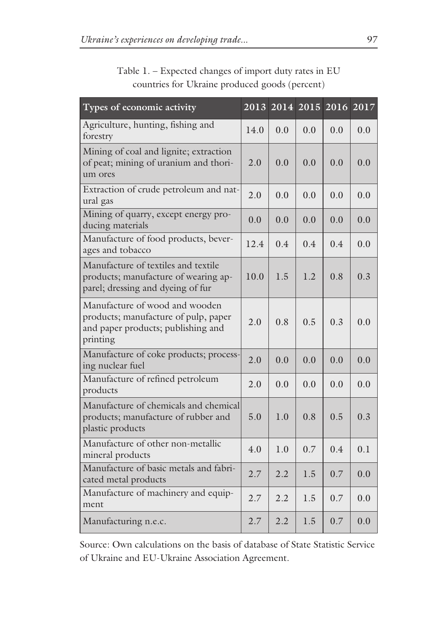| Types of economic activity                                                                                               |      | 2013 2014 2015 |               | 2016 2017 |     |
|--------------------------------------------------------------------------------------------------------------------------|------|----------------|---------------|-----------|-----|
| Agriculture, hunting, fishing and<br>forestry                                                                            | 14.0 | 0.0            | 0.0           | 0.0       | 0.0 |
| Mining of coal and lignite; extraction<br>of peat; mining of uranium and thori-<br>um ores                               | 2.0  | 0.0            | 0.0           | 0.0       | 0.0 |
| Extraction of crude petroleum and nat-<br>ural gas                                                                       | 2.0  | 0.0            | 0.0           | 0.0       | 0.0 |
| Mining of quarry, except energy pro-<br>ducing materials                                                                 | 0.0  | 0.0            | 0.0           | 0.0       | 0.0 |
| Manufacture of food products, bever-<br>ages and tobacco                                                                 | 12.4 | $0.4^{\circ}$  | $0.4^{\circ}$ | 0.4       | 0.0 |
| Manufacture of textiles and textile<br>products; manufacture of wearing ap-<br>parel; dressing and dyeing of fur         | 10.0 | 1.5            | 1.2           | 0.8       | 0.3 |
| Manufacture of wood and wooden<br>products; manufacture of pulp, paper<br>and paper products; publishing and<br>printing | 2.0  | 0.8            | 0.5           | 0.3       | 0.0 |
| Manufacture of coke products; process-<br>ing nuclear fuel                                                               | 2.0  | 0.0            | 0.0           | 0.0       | 0.0 |
| Manufacture of refined petroleum<br>products                                                                             | 2.0  | 0.0            | 0.0           | 0.0       | 0.0 |
| Manufacture of chemicals and chemical<br>products; manufacture of rubber and<br>plastic products                         | 5.0  | 1.0            | 0.8           | 0.5       | 0.3 |
| Manufacture of other non-metallic<br>mineral products                                                                    | 4.0  | 1.0            | 0.7           | 0.4       | 0.1 |
| Manufacture of basic metals and fabri-<br>cated metal products                                                           | 2.7  | 2.2            | 1.5           | 0.7       | 0.0 |
| Manufacture of machinery and equip-<br>ment                                                                              | 2.7  | 2.2            | 1.5           | 0.7       | 0.0 |
| Manufacturing n.e.c.                                                                                                     | 2.7  | 2.2            | 1.5           | 0.7       | 0.0 |

Table 1. – Expected changes of import duty rates in EU countries for Ukraine produced goods (percent)

Source: Own calculations on the basis of database of State Statistic Service of Ukraine and EU-Ukraine Association Agreement.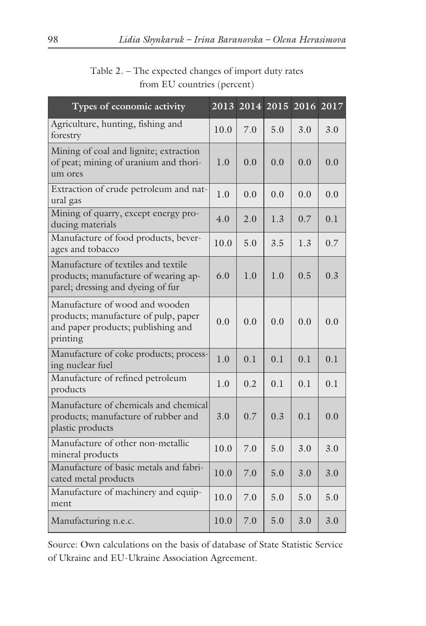| Types of economic activity                                                                                               | 2013 | 2014 2015 |     | 2016 | $20\overline{17}$ |
|--------------------------------------------------------------------------------------------------------------------------|------|-----------|-----|------|-------------------|
| Agriculture, hunting, fishing and<br>forestry                                                                            | 10.0 | 7.0       | 5.0 | 3.0  | 3.0               |
| Mining of coal and lignite; extraction<br>of peat; mining of uranium and thori-<br>um ores                               | 1.0  | 0.0       | 0.0 | 0.0  | 0.0               |
| Extraction of crude petroleum and nat-<br>ural gas                                                                       | 1.0  | 0.0       | 0.0 | 0.0  | 0.0               |
| Mining of quarry, except energy pro-<br>ducing materials                                                                 | 4.0  | 2.0       | 1.3 | 0.7  | 0.1               |
| Manufacture of food products, bever-<br>ages and tobacco                                                                 | 10.0 | 5.0       | 3.5 | 1.3  | 0.7               |
| Manufacture of textiles and textile<br>products; manufacture of wearing ap-<br>parel; dressing and dyeing of fur         | 6.0  | 1.0       | 1.0 | 0.5  | 0.3               |
| Manufacture of wood and wooden<br>products; manufacture of pulp, paper<br>and paper products; publishing and<br>printing | 0.0  | 0.0       | 0.0 | 0.0  | 0.0               |
| Manufacture of coke products; process-<br>ing nuclear fuel                                                               | 1.0  | 0.1       | 0.1 | 0.1  | 0.1               |
| Manufacture of refined petroleum<br>products                                                                             | 1.0  | 0.2       | 0.1 | 0.1  | 0.1               |
| Manufacture of chemicals and chemical<br>products; manufacture of rubber and<br>plastic products                         | 3.0  | 0.7       | 0.3 | 0.1  | 0.0               |
| Manufacture of other non-metallic<br>mineral products                                                                    | 10.0 | 7.0       | 5.0 | 3.0  | 3.0               |
| Manufacture of basic metals and fabri-<br>cated metal products                                                           | 10.0 | 7.0       | 5.0 | 3.0  | 3.0               |
| Manufacture of machinery and equip-<br>ment                                                                              | 10.0 | 7.0       | 5.0 | 5.0  | 5.0               |
| Manufacturing n.e.c.                                                                                                     | 10.0 | 7.0       | 5.0 | 3.0  | 3.0               |

Table 2. – The expected changes of import duty rates from EU countries (percent)

Source: Own calculations on the basis of database of State Statistic Service of Ukraine and EU-Ukraine Association Agreement.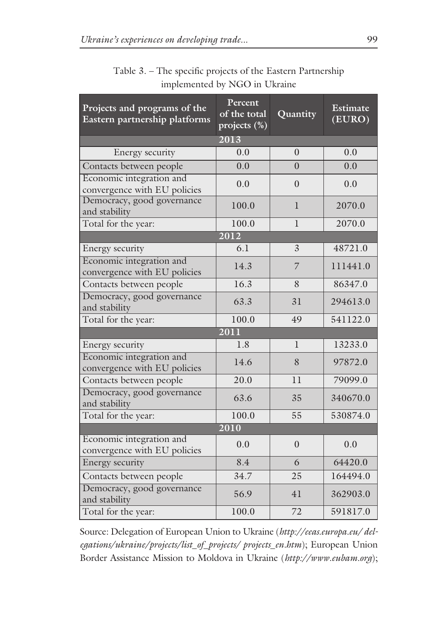| Projects and programs of the<br>Eastern partnership platforms | Percent<br>of the total<br>projects (%) | Quantity     | <b>Estimate</b><br>(EURO) |  |  |  |
|---------------------------------------------------------------|-----------------------------------------|--------------|---------------------------|--|--|--|
| 2013                                                          |                                         |              |                           |  |  |  |
| Energy security                                               | 0.0                                     | $\Omega$     | 0.0                       |  |  |  |
| Contacts between people                                       | 0.0                                     | $\Omega$     | 0.0                       |  |  |  |
| Economic integration and<br>convergence with EU policies      | 0.0                                     | $\theta$     | 0.0                       |  |  |  |
| Democracy, good governance<br>and stability                   | 100.0                                   | 1            | 2070.0                    |  |  |  |
| Total for the year:                                           | 100.0                                   | $\mathbf{I}$ | 2070.0                    |  |  |  |
|                                                               | 2012                                    |              |                           |  |  |  |
| Energy security                                               | 6.1                                     | 3            | 48721.0                   |  |  |  |
| Economic integration and<br>convergence with EU policies      | 14.3                                    | 7            | 111441.0                  |  |  |  |
| Contacts between people                                       | 16.3                                    | 8            | 86347.0                   |  |  |  |
| Democracy, good governance<br>and stability                   | 63.3                                    | 31           | 294613.0                  |  |  |  |
| Total for the year:                                           | 100.0                                   | 49           | 541122.0                  |  |  |  |
| 2011                                                          |                                         |              |                           |  |  |  |
| Energy security                                               | 1.8                                     | 1            | 13233.0                   |  |  |  |
| Economic integration and<br>convergence with EU policies      | 14.6                                    | 8            | 97872.0                   |  |  |  |
| Contacts between people                                       | 20.0                                    | 11           | 79099.0                   |  |  |  |
| Democracy, good governance<br>and stability                   | 63.6                                    | 35           | 340670.0                  |  |  |  |
| Total for the year:                                           | 100.0                                   | 55           | 530874.0                  |  |  |  |
| $\overline{2010}$                                             |                                         |              |                           |  |  |  |
| Economic integration and<br>convergence with EU policies      | 0.0                                     | $\theta$     | 0.0                       |  |  |  |
| Energy security                                               | 8.4                                     | 6            | 64420.0                   |  |  |  |
| Contacts between people                                       | 34.7                                    | 25           | 164494.0                  |  |  |  |
| Democracy, good governance<br>and stability                   | 56.9                                    | 41           | 362903.0                  |  |  |  |
| Total for the year:                                           | 100.0                                   | 72           | 591817.0                  |  |  |  |

#### Table 3. – The specific projects of the Eastern Partnership implemented by NGO in Ukraine

Source: Delegation of European Union to Ukraine (*http://eeas.europa.eu/ delegations/ukraine/projects/list\_of\_projects/ projects\_en.htm*); European Union Border Assistance Mission to Moldova in Ukraine (*http://www.eubam.org*);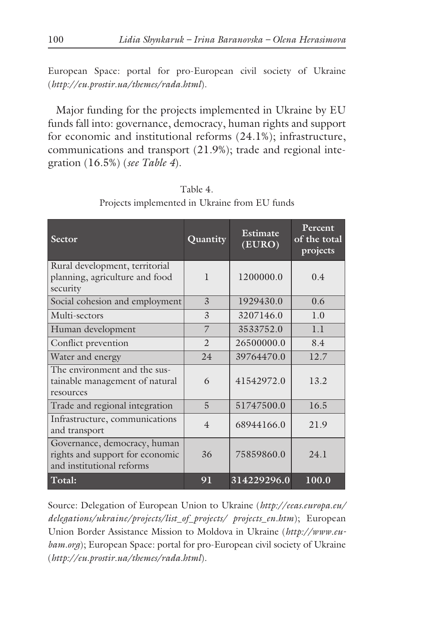European Space: portal for pro-European civil society of Ukraine (*http://eu.prostir.ua/themes/rada.html*).

Major funding for the projects implemented in Ukraine by EU funds fall into: governance, democracy, human rights and support for economic and institutional reforms (24.1%); infrastructure, communications and transport (21.9%); trade and regional integration (16.5%) (*see Table 4*).

| Sector                                                                                       | Quantity       | Estimate<br>(EURO) | Percent<br>of the total<br>projects |  |
|----------------------------------------------------------------------------------------------|----------------|--------------------|-------------------------------------|--|
| Rural development, territorial<br>planning, agriculture and food<br>security                 | 1              | 1200000.0          | 0.4                                 |  |
| Social cohesion and employment                                                               | 3              | 1929430.0          | 0.6                                 |  |
| Multi-sectors                                                                                | $\overline{3}$ | 3207146.0          | 1.0                                 |  |
| Human development                                                                            | 7              | 3533752.0          | 1.1                                 |  |
| Conflict prevention                                                                          | $\mathfrak{D}$ | 26500000.0         | 8.4                                 |  |
| Water and energy                                                                             | 24             | 39764470.0         | 12.7                                |  |
| The environment and the sus-<br>tainable management of natural<br>resources                  | 6              | 41542972.0         | 13.2                                |  |
| Trade and regional integration                                                               | 5              | 51747500.0         | 16.5                                |  |
| Infrastructure, communications<br>and transport                                              | $\overline{4}$ | 68944166.0         | 21.9                                |  |
| Governance, democracy, human<br>rights and support for economic<br>and institutional reforms | 36             | 75859860.0         | 24.1                                |  |
| Total:                                                                                       | 91             | 314229296.0        | 100.0                               |  |

Table 4. Projects implemented in Ukraine from EU funds

Source: Delegation of European Union to Ukraine (*http://eeas.europa.eu/ delegations/ukraine/projects/list\_of\_projects/ projects\_en.htm*); European Union Border Assistance Mission to Moldova in Ukraine (*http://www.eubam.org*); European Space: portal for pro-European civil society of Ukraine (*http://eu.prostir.ua/themes/rada.html*).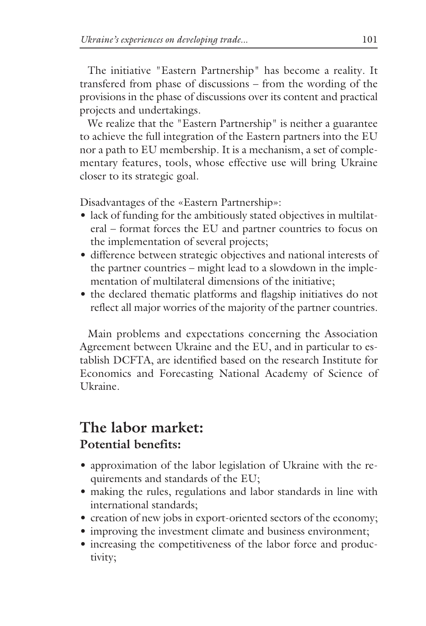The initiative "Eastern Partnership" has become a reality. It transfered from phase of discussions – from the wording of the provisions in the phase of discussions over its content and practical projects and undertakings.

We realize that the "Eastern Partnership" is neither a guarantee to achieve the full integration of the Eastern partners into the EU nor a path to EU membership. It is a mechanism, a set of complementary features, tools, whose effective use will bring Ukraine closer to its strategic goal.

Disadvantages of the «Eastern Partnership»:

- lack of funding for the ambitiously stated objectives in multilateral – format forces the EU and partner countries to focus on the implementation of several projects;
- difference between strategic objectives and national interests of the partner countries – might lead to a slowdown in the implementation of multilateral dimensions of the initiative;
- the declared thematic platforms and flagship initiatives do not reflect all major worries of the majority of the partner countries.

Main problems and expectations concerning the Association Agreement between Ukraine and the EU, and in particular to establish DCFTA, are identified based on the research Institute for Economics and Forecasting National Academy of Science of Ukraine.

### **The labor market: Potential benefits:**

- approximation of the labor legislation of Ukraine with the requirements and standards of the EU;
- making the rules, regulations and labor standards in line with international standards;
- creation of new jobs in export-oriented sectors of the economy;
- improving the investment climate and business environment;
- increasing the competitiveness of the labor force and productivity;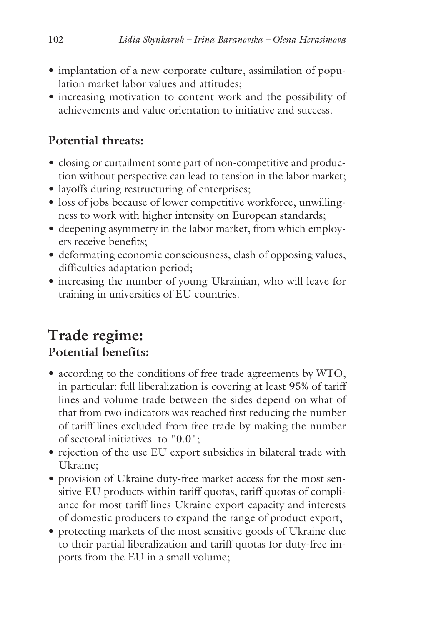- implantation of a new corporate culture, assimilation of population market labor values and attitudes;
- increasing motivation to content work and the possibility of achievements and value orientation to initiative and success.

### **Potential threats:**

- closing or curtailment some part of non-competitive and production without perspective can lead to tension in the labor market;
- layoffs during restructuring of enterprises;
- loss of jobs because of lower competitive workforce, unwillingness to work with higher intensity on European standards;
- deepening asymmetry in the labor market, from which employers receive benefits;
- deformating economic consciousness, clash of opposing values, difficulties adaptation period;
- increasing the number of young Ukrainian, who will leave for training in universities of EU countries.

### **Trade regime: Potential benefits:**

- according to the conditions of free trade agreements by WTO, in particular: full liberalization is covering at least 95% of tariff lines and volume trade between the sides depend on what of that from two indicators was reached first reducing the number of tariff lines excluded from free trade by making the number of sectoral initiatives to "0.0";
- rejection of the use EU export subsidies in bilateral trade with Ukraine;
- provision of Ukraine duty-free market access for the most sensitive EU products within tariff quotas, tariff quotas of compliance for most tariff lines Ukraine export capacity and interests of domestic producers to expand the range of product export;
- protecting markets of the most sensitive goods of Ukraine due to their partial liberalization and tariff quotas for duty-free imports from the EU in a small volume;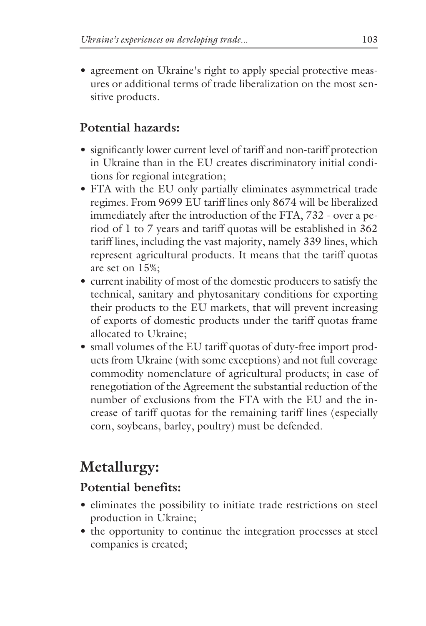• agreement on Ukraine's right to apply special protective measures or additional terms of trade liberalization on the most sensitive products.

### **Potential hazards:**

- significantly lower current level of tariff and non-tariff protection in Ukraine than in the EU creates discriminatory initial conditions for regional integration;
- FTA with the EU only partially eliminates asymmetrical trade regimes. From 9699 EU tariff lines only 8674 will be liberalized immediately after the introduction of the FTA, 732 - over a period of 1 to 7 years and tariff quotas will be established in 362 tariff lines, including the vast majority, namely 339 lines, which represent agricultural products. It means that the tariff quotas are set on 15%;
- current inability of most of the domestic producers to satisfy the technical, sanitary and phytosanitary conditions for exporting their products to the EU markets, that will prevent increasing of exports of domestic products under the tariff quotas frame allocated to Ukraine;
- small volumes of the EU tariff quotas of duty-free import products from Ukraine (with some exceptions) and not full coverage commodity nomenclature of agricultural products; in case of renegotiation of the Agreement the substantial reduction of the number of exclusions from the FTA with the EU and the increase of tariff quotas for the remaining tariff lines (especially corn, soybeans, barley, poultry) must be defended.

## **Metallurgy:**

#### **Potential benefits:**

- eliminates the possibility to initiate trade restrictions on steel production in Ukraine;
- the opportunity to continue the integration processes at steel companies is created;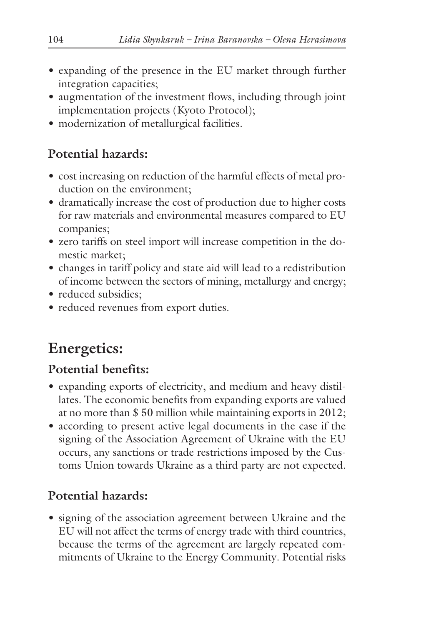- expanding of the presence in the EU market through further integration capacities;
- augmentation of the investment flows, including through joint implementation projects (Kyoto Protocol);
- modernization of metallurgical facilities.

### **Potential hazards:**

- cost increasing on reduction of the harmful effects of metal production on the environment;
- dramatically increase the cost of production due to higher costs for raw materials and environmental measures compared to EU companies;
- zero tariffs on steel import will increase competition in the domestic market;
- changes in tariff policy and state aid will lead to a redistribution of income between the sectors of mining, metallurgy and energy;
- reduced subsidies;
- reduced revenues from export duties.

## **Energetics:**

### **Potential benefits:**

- expanding exports of electricity, and medium and heavy distillates. The economic benefits from expanding exports are valued at no more than \$ 50 million while maintaining exports in 2012;
- according to present active legal documents in the case if the signing of the Association Agreement of Ukraine with the EU occurs, any sanctions or trade restrictions imposed by the Customs Union towards Ukraine as a third party are not expected.

### **Potential hazards:**

• signing of the association agreement between Ukraine and the EU will not affect the terms of energy trade with third countries, because the terms of the agreement are largely repeated commitments of Ukraine to the Energy Community. Potential risks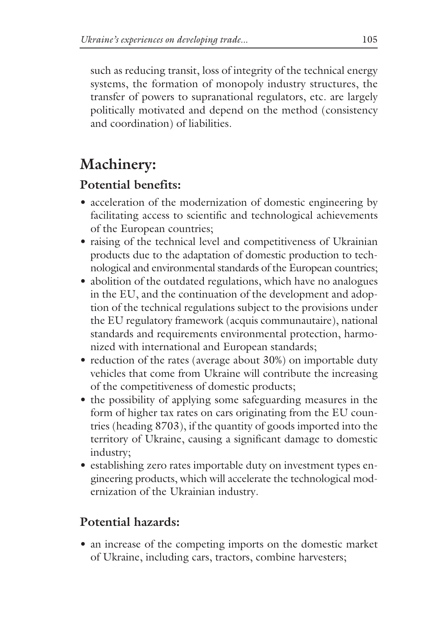such as reducing transit, loss of integrity of the technical energy systems, the formation of monopoly industry structures, the transfer of powers to supranational regulators, etc. are largely politically motivated and depend on the method (consistency and coordination) of liabilities.

### **Machinery:**

### **Potential benefits:**

- acceleration of the modernization of domestic engineering by facilitating access to scientific and technological achievements of the European countries;
- raising of the technical level and competitiveness of Ukrainian products due to the adaptation of domestic production to technological and environmental standards of the European countries;
- abolition of the outdated regulations, which have no analogues in the EU, and the continuation of the development and adoption of the technical regulations subject to the provisions under the EU regulatory framework (acquis communautaire), national standards and requirements environmental protection, harmonized with international and European standards;
- reduction of the rates (average about 30%) on importable duty vehicles that come from Ukraine will contribute the increasing of the competitiveness of domestic products;
- the possibility of applying some safeguarding measures in the form of higher tax rates on cars originating from the EU countries (heading 8703), if the quantity of goods imported into the territory of Ukraine, causing a significant damage to domestic industry;
- establishing zero rates importable duty on investment types engineering products, which will accelerate the technological modernization of the Ukrainian industry.

### **Potential hazards:**

• an increase of the competing imports on the domestic market of Ukraine, including cars, tractors, combine harvesters;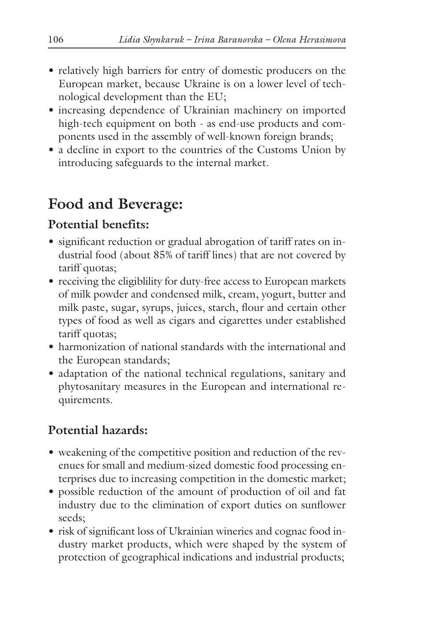- relatively high barriers for entry of domestic producers on the European market, because Ukraine is on a lower level of technological development than the EU;
- increasing dependence of Ukrainian machinery on imported high-tech equipment on both - as end-use products and components used in the assembly of well-known foreign brands;
- a decline in export to the countries of the Customs Union by introducing safeguards to the internal market.

### **Food and Beverage:**

#### **Potential benefits:**

- significant reduction or gradual abrogation of tariff rates on industrial food (about 85% of tariff lines) that are not covered by tariff quotas;
- receiving the eligiblility for duty-free access to European markets of milk powder and condensed milk, cream, yogurt, butter and milk paste, sugar, syrups, juices, starch, flour and certain other types of food as well as cigars and cigarettes under established tariff quotas;
- harmonization of national standards with the international and the European standards;
- adaptation of the national technical regulations, sanitary and phytosanitary measures in the European and international requirements.

### **Potential hazards:**

- weakening of the competitive position and reduction of the revenues for small and medium-sized domestic food processing enterprises due to increasing competition in the domestic market;
- possible reduction of the amount of production of oil and fat industry due to the elimination of export duties on sunflower seeds;
- risk of significant loss of Ukrainian wineries and cognac food industry market products, which were shaped by the system of protection of geographical indications and industrial products;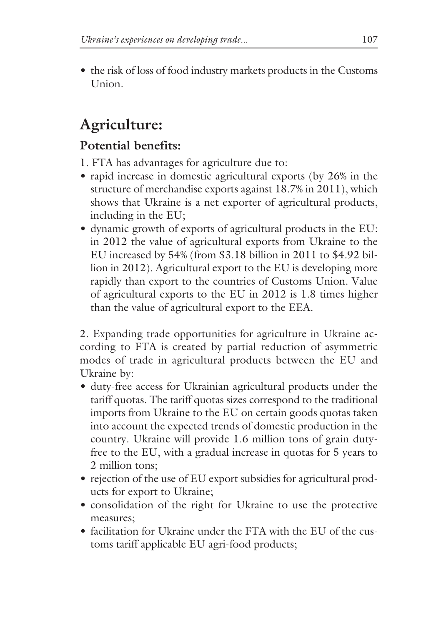• the risk of loss of food industry markets products in the Customs Union.

## **Agriculture:**

### **Potential benefits:**

- 1. FTA has advantages for agriculture due to:
- rapid increase in domestic agricultural exports (by 26% in the structure of merchandise exports against 18.7% in 2011), which shows that Ukraine is a net exporter of agricultural products, including in the EU;
- dynamic growth of exports of agricultural products in the EU: in 2012 the value of agricultural exports from Ukraine to the EU increased by 54% (from \$3.18 billion in 2011 to \$4.92 billion in 2012). Agricultural export to the EU is developing more rapidly than export to the countries of Customs Union. Value of agricultural exports to the EU in 2012 is 1.8 times higher than the value of agricultural export to the EEA.

2. Expanding trade opportunities for agriculture in Ukraine according to FTA is created by partial reduction of asymmetric modes of trade in agricultural products between the EU and Ukraine by:

- duty-free access for Ukrainian agricultural products under the tariff quotas. The tariff quotas sizes correspond to the traditional imports from Ukraine to the EU on certain goods quotas taken into account the expected trends of domestic production in the country. Ukraine will provide 1.6 million tons of grain dutyfree to the EU, with a gradual increase in quotas for 5 years to 2 million tons;
- rejection of the use of EU export subsidies for agricultural products for export to Ukraine;
- consolidation of the right for Ukraine to use the protective measures;
- facilitation for Ukraine under the FTA with the EU of the customs tariff applicable EU agri-food products;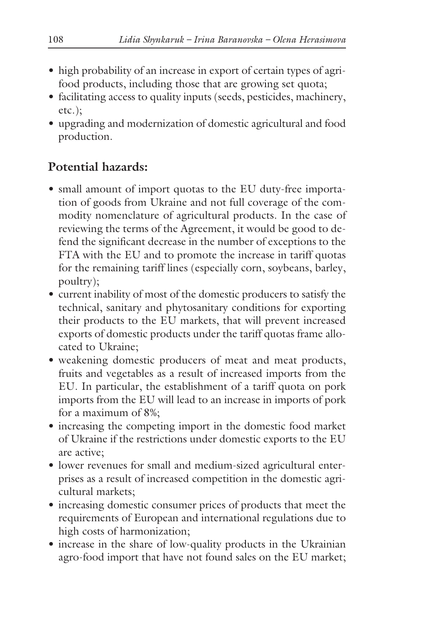- high probability of an increase in export of certain types of agrifood products, including those that are growing set quota;
- facilitating access to quality inputs (seeds, pesticides, machinery, etc.);
- upgrading and modernization of domestic agricultural and food production.

### **Potential hazards:**

- small amount of import quotas to the EU duty-free importation of goods from Ukraine and not full coverage of the commodity nomenclature of agricultural products. In the case of reviewing the terms of the Agreement, it would be good to defend the significant decrease in the number of exceptions to the FTA with the EU and to promote the increase in tariff quotas for the remaining tariff lines (especially corn, soybeans, barley, poultry);
- current inability of most of the domestic producers to satisfy the technical, sanitary and phytosanitary conditions for exporting their products to the EU markets, that will prevent increased exports of domestic products under the tariff quotas frame allocated to Ukraine;
- weakening domestic producers of meat and meat products, fruits and vegetables as a result of increased imports from the EU. In particular, the establishment of a tariff quota on pork imports from the EU will lead to an increase in imports of pork for a maximum of 8%;
- increasing the competing import in the domestic food market of Ukraine if the restrictions under domestic exports to the EU are active;
- lower revenues for small and medium-sized agricultural enterprises as a result of increased competition in the domestic agricultural markets;
- increasing domestic consumer prices of products that meet the requirements of European and international regulations due to high costs of harmonization;
- increase in the share of low-quality products in the Ukrainian agro-food import that have not found sales on the EU market;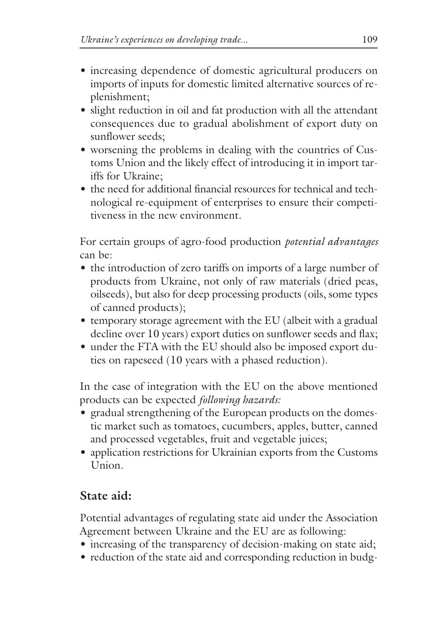- increasing dependence of domestic agricultural producers on imports of inputs for domestic limited alternative sources of replenishment;
- slight reduction in oil and fat production with all the attendant consequences due to gradual abolishment of export duty on sunflower seeds;
- worsening the problems in dealing with the countries of Customs Union and the likely effect of introducing it in import tariffs for Ukraine;
- the need for additional financial resources for technical and technological re-equipment of enterprises to ensure their competitiveness in the new environment.

For certain groups of agro-food production *potential advantages* can be:

- the introduction of zero tariffs on imports of a large number of products from Ukraine, not only of raw materials (dried peas, oilseeds), but also for deep processing products (oils, some types of canned products);
- temporary storage agreement with the EU (albeit with a gradual decline over 10 years) export duties on sunflower seeds and flax;
- under the FTA with the EU should also be imposed export duties on rapeseed (10 years with a phased reduction).

In the case of integration with the EU on the above mentioned products can be expected *following hazards:*

- gradual strengthening of the European products on the domestic market such as tomatoes, cucumbers, apples, butter, canned and processed vegetables, fruit and vegetable juices;
- application restrictions for Ukrainian exports from the Customs Union.

### **State aid:**

Potential advantages of regulating state aid under the Association Agreement between Ukraine and the EU are as following:

- increasing of the transparency of decision-making on state aid;
- reduction of the state aid and corresponding reduction in budg-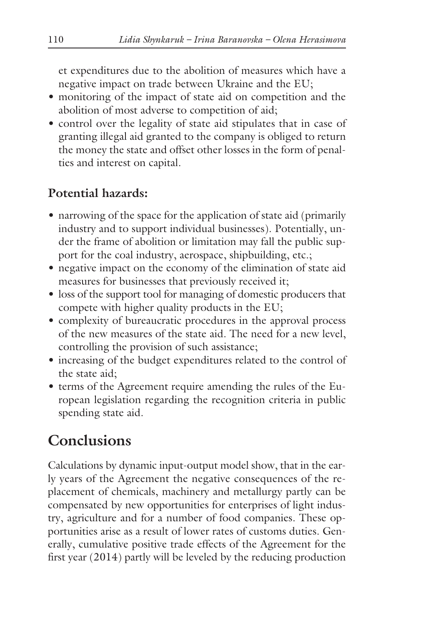et expenditures due to the abolition of measures which have a negative impact on trade between Ukraine and the EU;

- monitoring of the impact of state aid on competition and the abolition of most adverse to competition of aid;
- control over the legality of state aid stipulates that in case of granting illegal aid granted to the company is obliged to return the money the state and offset other losses in the form of penalties and interest on capital.

#### **Potential hazards:**

- narrowing of the space for the application of state aid (primarily industry and to support individual businesses). Potentially, under the frame of abolition or limitation may fall the public support for the coal industry, aerospace, shipbuilding, etc.;
- negative impact on the economy of the elimination of state aid measures for businesses that previously received it;
- loss of the support tool for managing of domestic producers that compete with higher quality products in the EU;
- complexity of bureaucratic procedures in the approval process of the new measures of the state aid. The need for a new level, controlling the provision of such assistance;
- increasing of the budget expenditures related to the control of the state aid;
- terms of the Agreement require amending the rules of the European legislation regarding the recognition criteria in public spending state aid.

### **Conclusions**

Calculations by dynamic input-output model show, that in the early years of the Agreement the negative consequences of the replacement of chemicals, machinery and metallurgy partly can be compensated by new opportunities for enterprises of light industry, agriculture and for a number of food companies. These opportunities arise as a result of lower rates of customs duties. Generally, cumulative positive trade effects of the Agreement for the first year (2014) partly will be leveled by the reducing production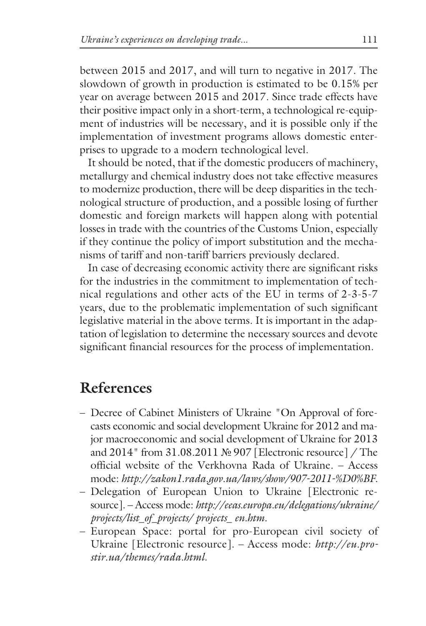between 2015 and 2017, and will turn to negative in 2017. The slowdown of growth in production is estimated to be 0.15% per year on average between 2015 and 2017. Since trade effects have their positive impact only in a short-term, a technological re-equipment of industries will be necessary, and it is possible only if the implementation of investment programs allows domestic enterprises to upgrade to a modern technological level.

It should be noted, that if the domestic producers of machinery, metallurgy and chemical industry does not take effective measures to modernize production, there will be deep disparities in the technological structure of production, and a possible losing of further domestic and foreign markets will happen along with potential losses in trade with the countries of the Customs Union, especially if they continue the policy of import substitution and the mechanisms of tariff and non-tariff barriers previously declared.

In case of decreasing economic activity there are significant risks for the industries in the commitment to implementation of technical regulations and other acts of the EU in terms of 2-3-5-7 years, due to the problematic implementation of such significant legislative material in the above terms. It is important in the adaptation of legislation to determine the necessary sources and devote significant financial resources for the process of implementation.

### **References**

- Decree of Cabinet Ministers of Ukraine "On Approval of forecasts economic and social development Ukraine for 2012 and major macroeconomic and social development of Ukraine for 2013 and 2014" from 31.08.2011 № 907 [Electronic resource] / The official website of the Verkhovna Rada of Ukraine. – Access mode: *http://zakon1.rada.gov.ua/laws/show/907-2011-%D0%BF.*
- Delegation of European Union to Ukraine [Electronic resource]. – Access mode: *http://eeas.europa.eu/delegations/ukraine/ projects/list\_of\_projects/ projects\_ en.htm.*
- European Space: portal for pro-European civil society of Ukraine [Electronic resource]. – Access mode: *http://eu.prostir.ua/themes/rada.html.*